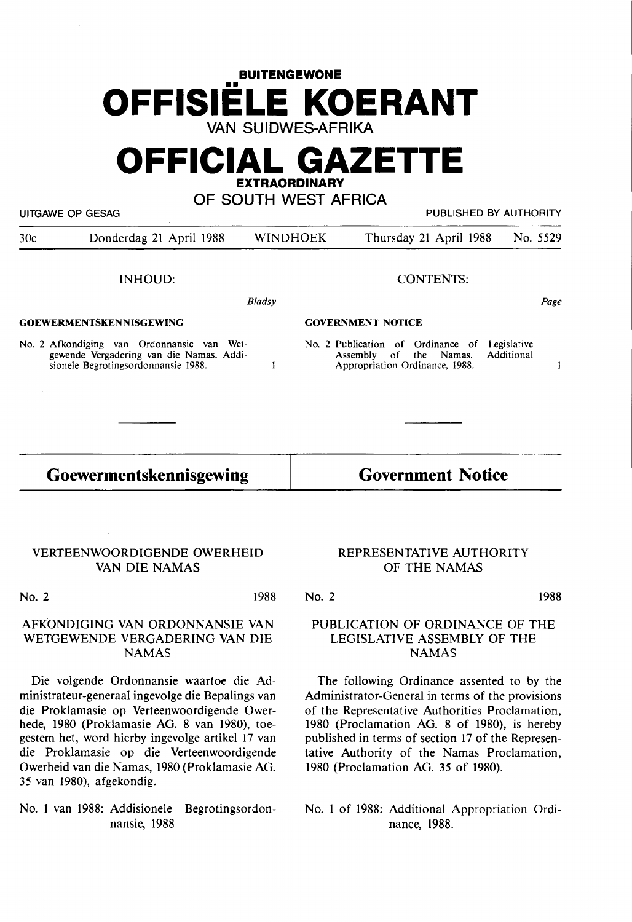## **BUITENGEWONE**  •• **OFFISIELE KOERANT VAN SUIDWES-AFRIKA**

# **OFFICIAL GAZETTE EXTRAORDINARY**

### **OF SOUTH WEST AFRICA**

UITGAWE OP GESAG PUBLISHED BY AUTHORITY

| 30c                            | Donderdag 21 April 1988                                                                                                       |        | <b>WINDHOEK</b>          | Thursday 21 April 1988                                                                                                  | No. 5529 |
|--------------------------------|-------------------------------------------------------------------------------------------------------------------------------|--------|--------------------------|-------------------------------------------------------------------------------------------------------------------------|----------|
|                                | INHOUD:                                                                                                                       |        | <b>CONTENTS:</b>         |                                                                                                                         |          |
|                                |                                                                                                                               | Bladsy |                          |                                                                                                                         | Page     |
| <b>GOEWERMENTSKENNISGEWING</b> |                                                                                                                               |        | <b>GOVERNMENT NOTICE</b> |                                                                                                                         |          |
|                                | No. 2 Afkondiging van Ordonnansie van Wet-<br>gewende Vergadering van die Namas. Addi-<br>sionele Begrotingsordonnansie 1988. |        |                          | No. 2 Publication of Ordinance of Legislative<br>Additional<br>Assembly of the Namas.<br>Appropriation Ordinance, 1988. |          |

**Goewermentskennisgewing** 

VERTEENWOORDIGENDE OWERHEID VAN DIE NAMAS

sionele Begrotingsordonnansie 1988.

No. 2 1988

#### AFKONDIGING VAN ORDONNANSIE VAN WETGEWENDE VERGADERING VAN DIE **NAMAS**

Die volgende Ordonnansie waartoe die Administrateur-generaal ingevolge die Bepalings van die Proklamasie op Verteenwoordigende Owerhede, 1980 (Proklamasie AG. 8 van 1980), toegestem bet, word hierby ingevolge artikel 17 van die Proklamasie op die Verteenwoordigende Owerheid van die Namas, 1980 (Proklamasie AG. 35 van 1980), afgekondig.

No. 1 van 1988: Addisionele Begrotingsordonnansie, 1988

#### REPRESENTATIVE AUTHORITY OF THE NAMAS

**Government Notice** 

Appropriation Ordinance, 1988.

No. 2

### 1988 PUBLICATION OF ORDINANCE OF THE LEGISLATIVE ASSEMBLY OF THE

**NAMAS** 

The following Ordinance assented to by the Administrator-General in terms of the provisions of the Representative Authorities Proclamation, 1980 (Proclamation AG. 8 of 1980), is hereby published in terms of section 17 of the Representative Authority of the Namas Proclamation, 1980 (Proclamation AG. 35 of 1980).

No. 1 of 1988: Additional Appropriation Ordinance, 1988.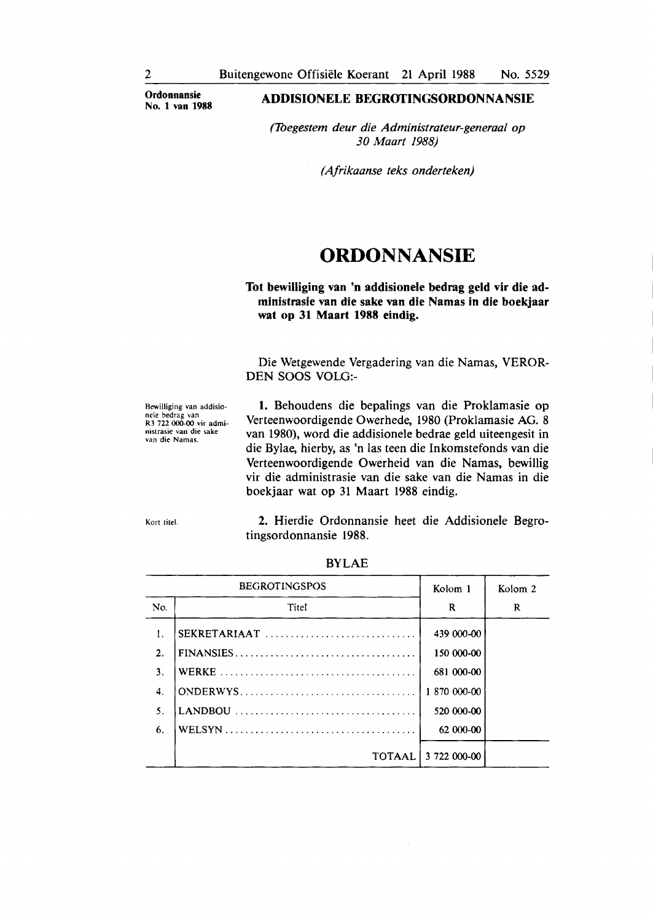**Ordonnansie No. 1 van 1988** 

#### **ADDISIONELE BEGROI'INGSORDONNANSIE**

*(1begestem deur die Administrateur-generaal op 30 Maart 1988)* 

*(Afrikaanse teks onderteken)* 

### **ORDONNANSIE**

#### **Tot bewilliging van 'n addisionele bedrag geld vir die administrasie van die sake van die Namas in die boekjaar wat op 31 Maart 1988 eindig.**

Die Wetgewende Vergadering van die Namas, VEROR-DEN SOOS VOLO:-

Bewilliging van addisionele bedrag van **R3** 722 000-00 vir administrasie van die sake van die Namas.

**1.** Behoudens die bepalings van die Proklamasie op Verteenwoordigende Owerhede, 1980 (Proklamasie **AG. 8**  van 1980), word die addisionele bedrae geld uiteengesit in die Bylae, hierby, as 'n las teen die Inkomstefonds van die Verteenwoordigende Owerheid van die Namas, bewillig vir die administrasie van die sake van die Namas in die boekjaar wat op 31 Maart 1988 eindig.

Kort titel.

2. Hierdie Ordonnansie beet die Addisionele Begrotingsordonnansie 1988.

|                | <b>BEGROTINGSPOS</b> | Kolom 1             | Kolom <sub>2</sub> |
|----------------|----------------------|---------------------|--------------------|
| No.            | Titel                | R                   | R                  |
| 1.             | SEKRETARIAAT         | 439 000-00          |                    |
| $\mathbf{2}$ . |                      | 150 000-00          |                    |
| 3.             |                      | 681 000-00          |                    |
| 4.             |                      | 1 870 000-00        |                    |
| 5.             |                      | 520 000-00          |                    |
| 6.             |                      | 62 000-00           |                    |
|                |                      | TOTAAL 3 722 000-00 |                    |

BYLAE